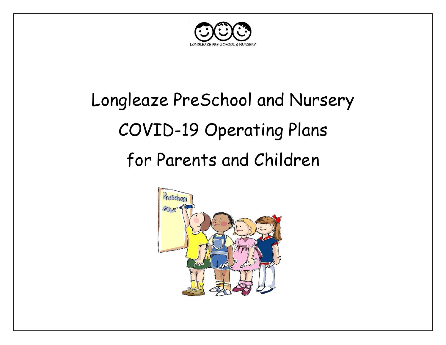

# Longleaze PreSchool and Nursery COVID-19 Operating Plans for Parents and Children

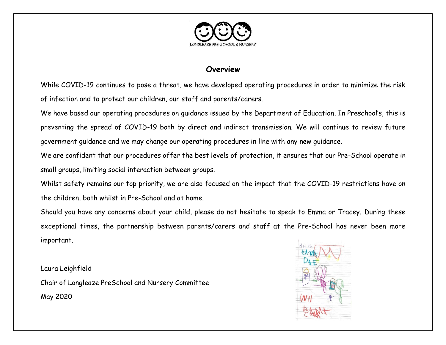

#### **Overview**

While COVID-19 continues to pose a threat, we have developed operating procedures in order to minimize the risk of infection and to protect our children, our staff and parents/carers.

We have based our operating procedures on guidance issued by the Department of Education. In Preschool's, this is preventing the spread of COVID-19 both by direct and indirect transmission. We will continue to review future government guidance and we may change our operating procedures in line with any new guidance.

We are confident that our procedures offer the best levels of protection, it ensures that our Pre-School operate in small groups, limiting social interaction between groups.

Whilst safety remains our top priority, we are also focused on the impact that the COVID-19 restrictions have on the children, both whilst in Pre-School and at home.

Should you have any concerns about your child, please do not hesitate to speak to Emma or Tracey. During these exceptional times, the partnership between parents/carers and staff at the Pre-School has never been more important.

Laura Leighfield Chair of Longleaze PreSchool and Nursery Committee May 2020

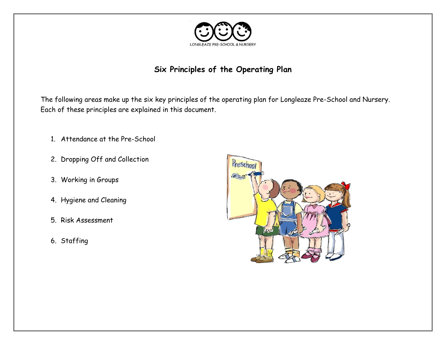

#### **Six Principles of the Operating Plan**

The following areas make up the six key principles of the operating plan for Longleaze Pre-School and Nursery. Each of these principles are explained in this document.

- 1. Attendance at the Pre-School
- 2. Dropping Off and Collection
- 3. Working in Groups
- 4. Hygiene and Cleaning
- 5. Risk Assessment
- 6. Staffing

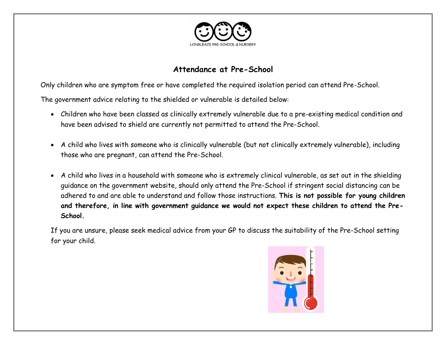

#### **Attendance at Pre-School**

Only children who are symptom free or have completed the required isolation period can attend Pre-School.

The government advice relating to the shielded or vulnerable is detailed below:

- Children who have been classed as clinically extremely vulnerable due to a pre-existing medical condition and have been advised to shield are currently not permitted to attend the Pre-School.
- A child who lives with someone who is clinically vulnerable (but not clinically extremely vulnerable), including those who are pregnant, can attend the Pre-School.
- A child who lives in a household with someone who is extremely clinical vulnerable, as set out in the shielding guidance on the government website, should only attend the Pre-School if stringent social distancing can be adhered to and are able to understand and follow those instructions. **This is not possible for young children and therefore, in line with government guidance we would not expect these children to attend the Pre-School.**

If you are unsure, please seek medical advice from your GP to discuss the suitability of the Pre-School setting for your child.

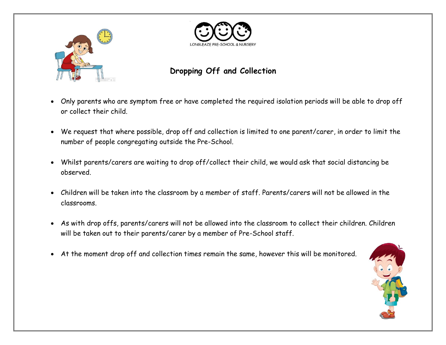



## **Dropping Off and Collection**

- Only parents who are symptom free or have completed the required isolation periods will be able to drop off or collect their child.
- We request that where possible, drop off and collection is limited to one parent/carer, in order to limit the number of people congregating outside the Pre-School.
- Whilst parents/carers are waiting to drop off/collect their child, we would ask that social distancing be observed.
- Children will be taken into the classroom by a member of staff. Parents/carers will not be allowed in the classrooms.
- As with drop offs, parents/carers will not be allowed into the classroom to collect their children. Children will be taken out to their parents/carer by a member of Pre-School staff.
- At the moment drop off and collection times remain the same, however this will be monitored.

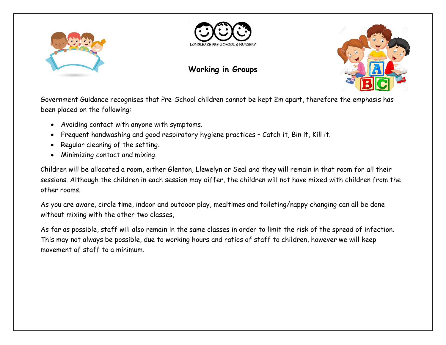



# **Working in Groups**



Government Guidance recognises that Pre-School children cannot be kept 2m apart, therefore the emphasis has been placed on the following:

- Avoiding contact with anyone with symptoms.
- Frequent handwashing and good respiratory hygiene practices Catch it, Bin it, Kill it.
- Regular cleaning of the setting.
- Minimizing contact and mixing.

Children will be allocated a room, either Glenton, Llewelyn or Seal and they will remain in that room for all their sessions. Although the children in each session may differ, the children will not have mixed with children from the other rooms.

As you are aware, circle time, indoor and outdoor play, mealtimes and toileting/nappy changing can all be done without mixing with the other two classes,

As far as possible, staff will also remain in the same classes in order to limit the risk of the spread of infection. This may not always be possible, due to working hours and ratios of staff to children, however we will keep movement of staff to a minimum.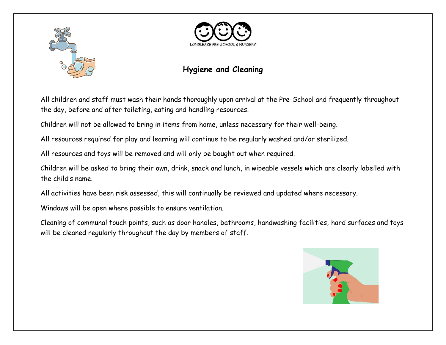



### **Hygiene and Cleaning**

All children and staff must wash their hands thoroughly upon arrival at the Pre-School and frequently throughout the day, before and after toileting, eating and handling resources.

Children will not be allowed to bring in items from home, unless necessary for their well-being.

All resources required for play and learning will continue to be regularly washed and/or sterilized.

All resources and toys will be removed and will only be bought out when required.

Children will be asked to bring their own, drink, snack and lunch, in wipeable vessels which are clearly labelled with the child's name.

All activities have been risk assessed, this will continually be reviewed and updated where necessary.

Windows will be open where possible to ensure ventilation.

Cleaning of communal touch points, such as door handles, bathrooms, handwashing facilities, hard surfaces and toys will be cleaned regularly throughout the day by members of staff.

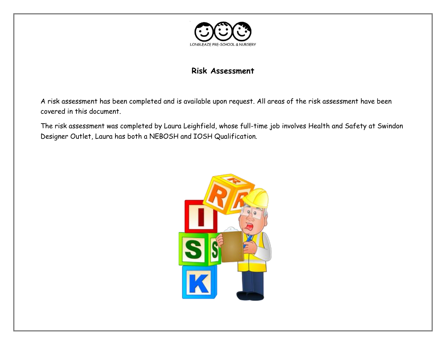

#### **Risk Assessment**

A risk assessment has been completed and is available upon request. All areas of the risk assessment have been covered in this document.

The risk assessment was completed by Laura Leighfield, whose full-time job involves Health and Safety at Swindon Designer Outlet, Laura has both a NEBOSH and IOSH Qualification.

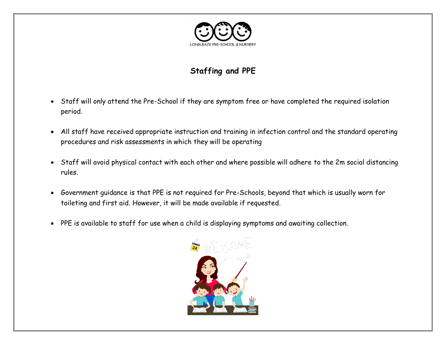

# **Staffing and PPE**

- Staff will only attend the Pre-School if they are symptom free or have completed the required isolation period.
- All staff have received appropriate instruction and training in infection control and the standard operating procedures and risk assessments in which they will be operating
- Staff will avoid physical contact with each other and where possible will adhere to the 2m social distancing rules.
- Government guidance is that PPE is not required for Pre-Schools, beyond that which is usually worn for toileting and first aid. However, it will be made available if requested.
- PPE is available to staff for use when a child is displaying symptoms and awaiting collection.

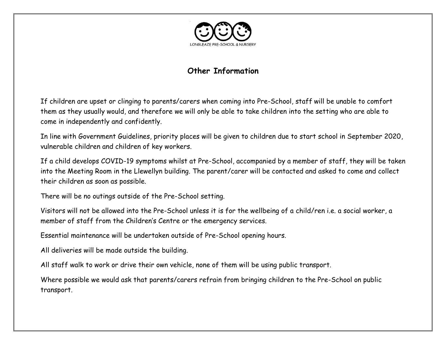

#### **Other Information**

If children are upset or clinging to parents/carers when coming into Pre-School, staff will be unable to comfort them as they usually would, and therefore we will only be able to take children into the setting who are able to come in independently and confidently.

In line with Government Guidelines, priority places will be given to children due to start school in September 2020, vulnerable children and children of key workers.

If a child develops COVID-19 symptoms whilst at Pre-School, accompanied by a member of staff, they will be taken into the Meeting Room in the Llewellyn building. The parent/carer will be contacted and asked to come and collect their children as soon as possible.

There will be no outings outside of the Pre-School setting.

Visitors will not be allowed into the Pre-School unless it is for the wellbeing of a child/ren i.e. a social worker, a member of staff from the Children's Centre or the emergency services.

Essential maintenance will be undertaken outside of Pre-School opening hours.

All deliveries will be made outside the building.

All staff walk to work or drive their own vehicle, none of them will be using public transport.

Where possible we would ask that parents/carers refrain from bringing children to the Pre-School on public transport.